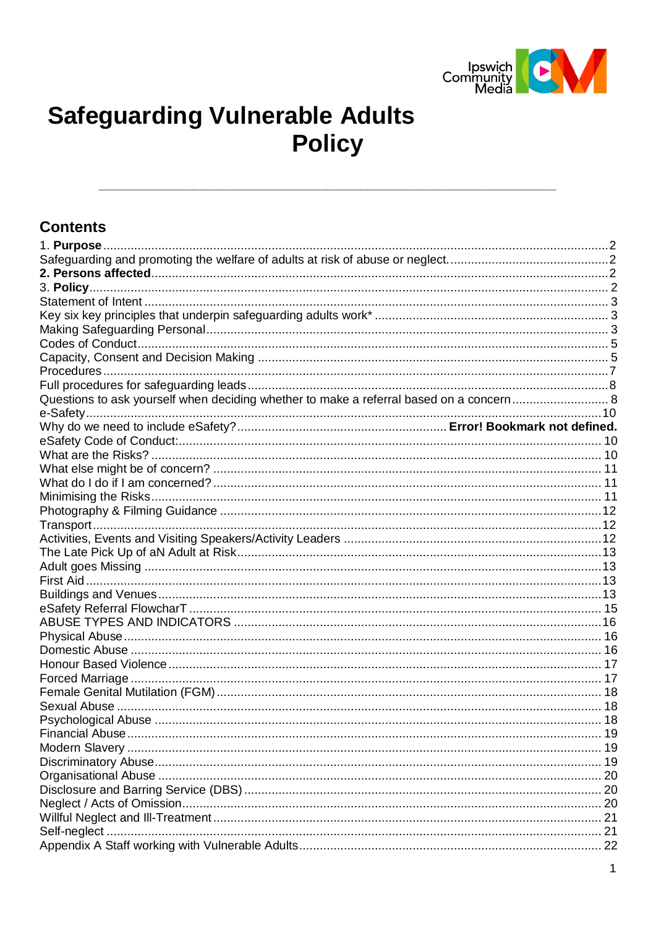

# **Safeguarding Vulnerable Adults Policy**

#### **Contents**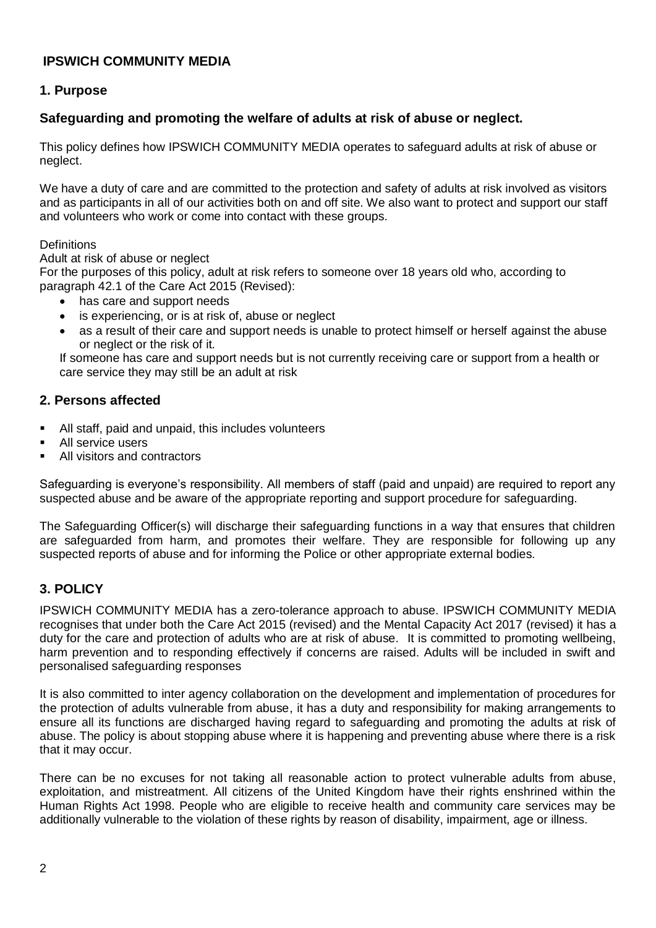# **IPSWICH COMMUNITY MEDIA**

# <span id="page-1-0"></span>**1. Purpose**

# <span id="page-1-1"></span>**Safeguarding and promoting the welfare of adults at risk of abuse or neglect.**

This policy defines how IPSWICH COMMUNITY MEDIA operates to safeguard adults at risk of abuse or neglect.

We have a duty of care and are committed to the protection and safety of adults at risk involved as visitors and as participants in all of our activities both on and off site. We also want to protect and support our staff and volunteers who work or come into contact with these groups.

#### **Definitions**

Adult at risk of abuse or neglect

For the purposes of this policy, adult at risk refers to someone over 18 years old who, according to paragraph 42.1 of the Care Act 2015 (Revised):

- has care and support needs
- is experiencing, or is at risk of, abuse or neglect
- as a result of their care and support needs is unable to protect himself or herself against the abuse or neglect or the risk of it.

If someone has care and support needs but is not currently receiving care or support from a health or care service they may still be an adult at risk

# <span id="page-1-2"></span>**2. Persons affected**

- All staff, paid and unpaid, this includes volunteers
- All service users
- All visitors and contractors

Safeguarding is everyone's responsibility. All members of staff (paid and unpaid) are required to report any suspected abuse and be aware of the appropriate reporting and support procedure for safeguarding.

The Safeguarding Officer(s) will discharge their safeguarding functions in a way that ensures that children are safeguarded from harm, and promotes their welfare. They are responsible for following up any suspected reports of abuse and for informing the Police or other appropriate external bodies.

# <span id="page-1-3"></span>**3. POLICY**

IPSWICH COMMUNITY MEDIA has a zero-tolerance approach to abuse. IPSWICH COMMUNITY MEDIA recognises that under both the Care Act 2015 (revised) and the Mental Capacity Act 2017 (revised) it has a duty for the care and protection of adults who are at risk of abuse. It is committed to promoting wellbeing, harm prevention and to responding effectively if concerns are raised. Adults will be included in swift and personalised safeguarding responses

It is also committed to inter agency collaboration on the development and implementation of procedures for the protection of adults vulnerable from abuse, it has a duty and responsibility for making arrangements to ensure all its functions are discharged having regard to safeguarding and promoting the adults at risk of abuse. The policy is about stopping abuse where it is happening and preventing abuse where there is a risk that it may occur.

There can be no excuses for not taking all reasonable action to protect vulnerable adults from abuse, exploitation, and mistreatment. All citizens of the United Kingdom have their rights enshrined within the Human Rights Act 1998. People who are eligible to receive health and community care services may be additionally vulnerable to the violation of these rights by reason of disability, impairment, age or illness.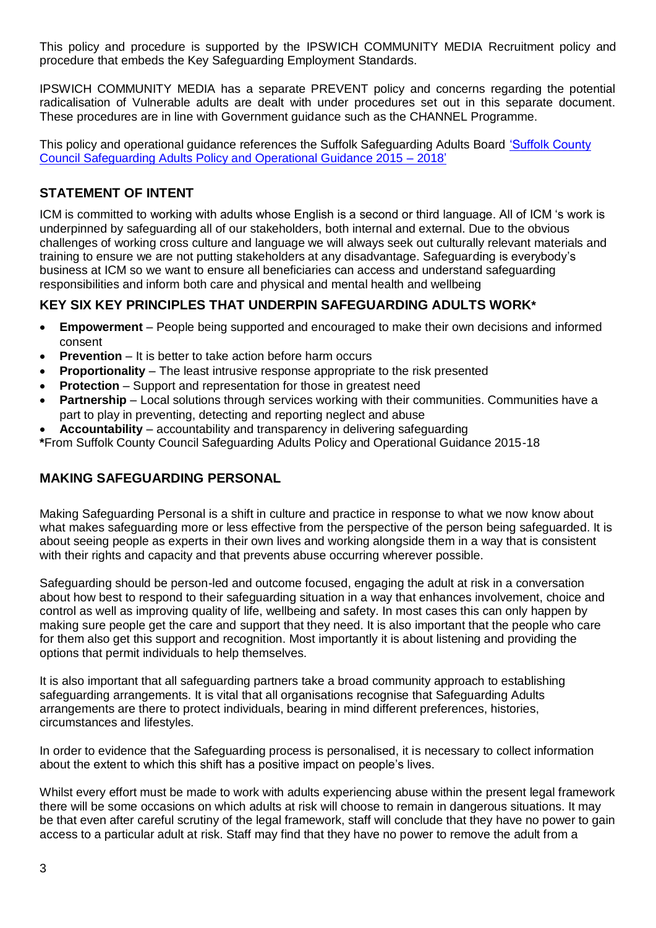This policy and procedure is supported by the IPSWICH COMMUNITY MEDIA Recruitment policy and procedure that embeds the Key Safeguarding Employment Standards.

IPSWICH COMMUNITY MEDIA has a separate PREVENT policy and concerns regarding the potential radicalisation of Vulnerable adults are dealt with under procedures set out in this separate document. These procedures are in line with Government guidance such as the CHANNEL Programme.

This policy and operational guidance references the Suffolk Safeguarding Adults Board ['Suffolk County](../../../../../Quality%20Standards/Policies%20and%20procedures/Suffolk-Safeguarding-Adults-Policy-and-Operational-Guidance%202016.pdf)  [Council Safeguarding Adults Policy and Operational Guidance 2015 –](../../../../../Quality%20Standards/Policies%20and%20procedures/Suffolk-Safeguarding-Adults-Policy-and-Operational-Guidance%202016.pdf) 2018'

# <span id="page-2-0"></span>**STATEMENT OF INTENT**

ICM is committed to working with adults whose English is a second or third language. All of ICM 's work is underpinned by safeguarding all of our stakeholders, both internal and external. Due to the obvious challenges of working cross culture and language we will always seek out culturally relevant materials and training to ensure we are not putting stakeholders at any disadvantage. Safeguarding is everybody's business at ICM so we want to ensure all beneficiaries can access and understand safeguarding responsibilities and inform both care and physical and mental health and wellbeing

# <span id="page-2-1"></span>**KEY SIX KEY PRINCIPLES THAT UNDERPIN SAFEGUARDING ADULTS WORK\***

- **Empowerment**  People being supported and encouraged to make their own decisions and informed consent
- **Prevention** It is better to take action before harm occurs
- **Proportionality** The least intrusive response appropriate to the risk presented
- **Protection** Support and representation for those in greatest need
- **Partnership**  Local solutions through services working with their communities. Communities have a part to play in preventing, detecting and reporting neglect and abuse
- **Accountability**  accountability and transparency in delivering safeguarding

**\***From Suffolk County Council Safeguarding Adults Policy and Operational Guidance 2015-18

# <span id="page-2-2"></span>**MAKING SAFEGUARDING PERSONAL**

Making Safeguarding Personal is a shift in culture and practice in response to what we now know about what makes safeguarding more or less effective from the perspective of the person being safeguarded. It is about seeing people as experts in their own lives and working alongside them in a way that is consistent with their rights and capacity and that prevents abuse occurring wherever possible.

Safeguarding should be person-led and outcome focused, engaging the adult at risk in a conversation about how best to respond to their safeguarding situation in a way that enhances involvement, choice and control as well as improving quality of life, wellbeing and safety. In most cases this can only happen by making sure people get the care and support that they need. It is also important that the people who care for them also get this support and recognition. Most importantly it is about listening and providing the options that permit individuals to help themselves.

It is also important that all safeguarding partners take a broad community approach to establishing safeguarding arrangements. It is vital that all organisations recognise that Safeguarding Adults arrangements are there to protect individuals, bearing in mind different preferences, histories, circumstances and lifestyles.

In order to evidence that the Safeguarding process is personalised, it is necessary to collect information about the extent to which this shift has a positive impact on people's lives.

Whilst every effort must be made to work with adults experiencing abuse within the present legal framework there will be some occasions on which adults at risk will choose to remain in dangerous situations. It may be that even after careful scrutiny of the legal framework, staff will conclude that they have no power to gain access to a particular adult at risk. Staff may find that they have no power to remove the adult from a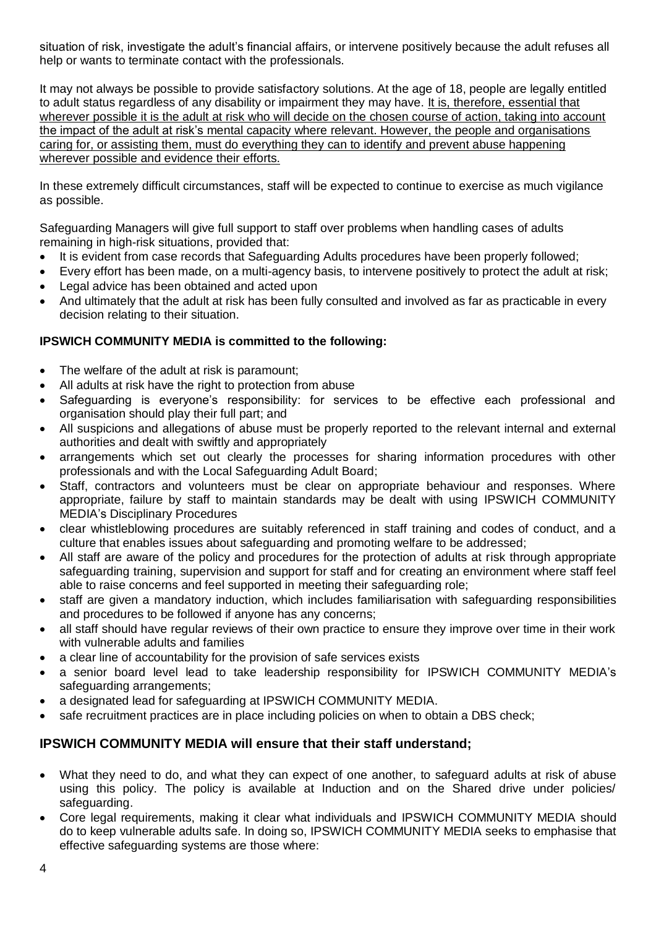situation of risk, investigate the adult's financial affairs, or intervene positively because the adult refuses all help or wants to terminate contact with the professionals.

It may not always be possible to provide satisfactory solutions. At the age of 18, people are legally entitled to adult status regardless of any disability or impairment they may have. It is, therefore, essential that wherever possible it is the adult at risk who will decide on the chosen course of action, taking into account the impact of the adult at risk's mental capacity where relevant. However, the people and organisations caring for, or assisting them, must do everything they can to identify and prevent abuse happening wherever possible and evidence their efforts.

In these extremely difficult circumstances, staff will be expected to continue to exercise as much vigilance as possible.

Safeguarding Managers will give full support to staff over problems when handling cases of adults remaining in high-risk situations, provided that:

- It is evident from case records that Safeguarding Adults procedures have been properly followed;
- Every effort has been made, on a multi-agency basis, to intervene positively to protect the adult at risk;
- Legal advice has been obtained and acted upon
- And ultimately that the adult at risk has been fully consulted and involved as far as practicable in every decision relating to their situation.

# **IPSWICH COMMUNITY MEDIA is committed to the following:**

- The welfare of the adult at risk is paramount;
- All adults at risk have the right to protection from abuse
- Safeguarding is everyone's responsibility: for services to be effective each professional and organisation should play their full part; and
- All suspicions and allegations of abuse must be properly reported to the relevant internal and external authorities and dealt with swiftly and appropriately
- arrangements which set out clearly the processes for sharing information procedures with other professionals and with the Local Safeguarding Adult Board;
- Staff, contractors and volunteers must be clear on appropriate behaviour and responses. Where appropriate, failure by staff to maintain standards may be dealt with using IPSWICH COMMUNITY MEDIA's Disciplinary Procedures
- clear whistleblowing procedures are suitably referenced in staff training and codes of conduct, and a culture that enables issues about safeguarding and promoting welfare to be addressed;
- All staff are aware of the policy and procedures for the protection of adults at risk through appropriate safeguarding training, supervision and support for staff and for creating an environment where staff feel able to raise concerns and feel supported in meeting their safeguarding role;
- staff are given a mandatory induction, which includes familiarisation with safeguarding responsibilities and procedures to be followed if anyone has any concerns;
- all staff should have regular reviews of their own practice to ensure they improve over time in their work with vulnerable adults and families
- a clear line of accountability for the provision of safe services exists
- a senior board level lead to take leadership responsibility for IPSWICH COMMUNITY MEDIA's safeguarding arrangements:
- a designated lead for safeguarding at IPSWICH COMMUNITY MEDIA.
- safe recruitment practices are in place including policies on when to obtain a DBS check;

# **IPSWICH COMMUNITY MEDIA will ensure that their staff understand;**

- What they need to do, and what they can expect of one another, to safeguard adults at risk of abuse using this policy. The policy is available at Induction and on the Shared drive under policies/ safeguarding.
- Core legal requirements, making it clear what individuals and IPSWICH COMMUNITY MEDIA should do to keep vulnerable adults safe. In doing so, IPSWICH COMMUNITY MEDIA seeks to emphasise that effective safeguarding systems are those where: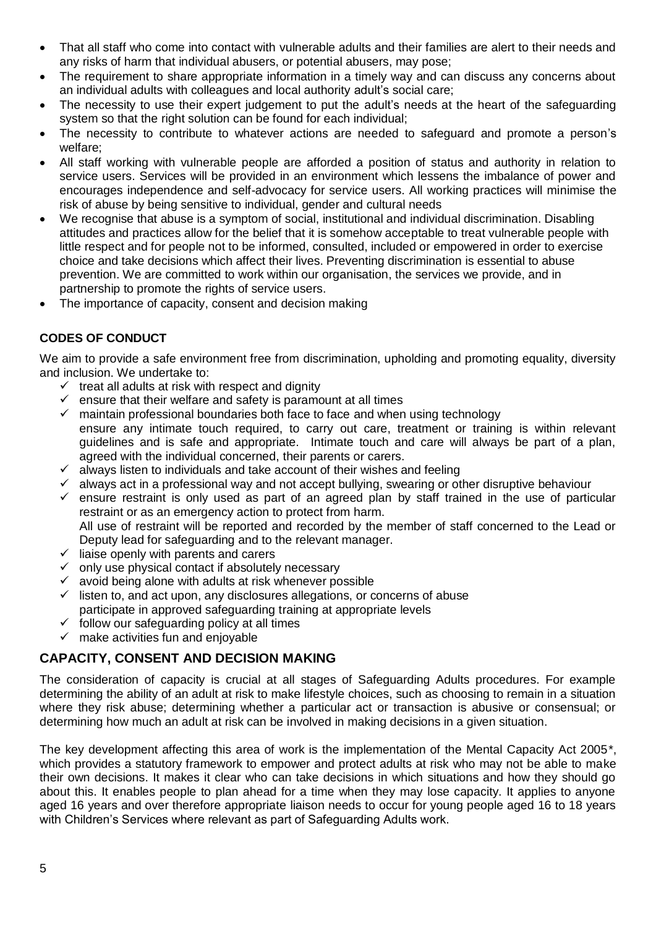- That all staff who come into contact with vulnerable adults and their families are alert to their needs and any risks of harm that individual abusers, or potential abusers, may pose;
- The requirement to share appropriate information in a timely way and can discuss any concerns about an individual adults with colleagues and local authority adult's social care;
- The necessity to use their expert judgement to put the adult's needs at the heart of the safeguarding system so that the right solution can be found for each individual;
- The necessity to contribute to whatever actions are needed to safeguard and promote a person's welfare;
- All staff working with vulnerable people are afforded a position of status and authority in relation to service users. Services will be provided in an environment which lessens the imbalance of power and encourages independence and self-advocacy for service users. All working practices will minimise the risk of abuse by being sensitive to individual, gender and cultural needs
- We recognise that abuse is a symptom of social, institutional and individual discrimination. Disabling attitudes and practices allow for the belief that it is somehow acceptable to treat vulnerable people with little respect and for people not to be informed, consulted, included or empowered in order to exercise choice and take decisions which affect their lives. Preventing discrimination is essential to abuse prevention. We are committed to work within our organisation, the services we provide, and in partnership to promote the rights of service users.
- The importance of capacity, consent and decision making

# <span id="page-4-0"></span>**CODES OF CONDUCT**

We aim to provide a safe environment free from discrimination, upholding and promoting equality, diversity and inclusion. We undertake to:

- $\checkmark$  treat all adults at risk with respect and dignity
- $\checkmark$  ensure that their welfare and safety is paramount at all times
- $\checkmark$  maintain professional boundaries both face to face and when using technology ensure any intimate touch required, to carry out care, treatment or training is within relevant guidelines and is safe and appropriate. Intimate touch and care will always be part of a plan, agreed with the individual concerned, their parents or carers.
- $\checkmark$  always listen to individuals and take account of their wishes and feeling
- $\checkmark$  always act in a professional way and not accept bullying, swearing or other disruptive behaviour
- $\checkmark$  ensure restraint is only used as part of an agreed plan by staff trained in the use of particular restraint or as an emergency action to protect from harm. All use of restraint will be reported and recorded by the member of staff concerned to the Lead or Deputy lead for safeguarding and to the relevant manager.
- $\checkmark$  liaise openly with parents and carers
- $\checkmark$  only use physical contact if absolutely necessary
- $\checkmark$  avoid being alone with adults at risk whenever possible
- $\checkmark$  listen to, and act upon, any disclosures allegations, or concerns of abuse participate in approved safeguarding training at appropriate levels
- $\checkmark$  follow our safeguarding policy at all times
- $\checkmark$  make activities fun and enjoyable

# <span id="page-4-1"></span>**CAPACITY, CONSENT AND DECISION MAKING**

The consideration of capacity is crucial at all stages of Safeguarding Adults procedures. For example determining the ability of an adult at risk to make lifestyle choices, such as choosing to remain in a situation where they risk abuse; determining whether a particular act or transaction is abusive or consensual; or determining how much an adult at risk can be involved in making decisions in a given situation.

The key development affecting this area of work is the implementation of the Mental Capacity Act 2005\*, which provides a statutory framework to empower and protect adults at risk who may not be able to make their own decisions. It makes it clear who can take decisions in which situations and how they should go about this. It enables people to plan ahead for a time when they may lose capacity. It applies to anyone aged 16 years and over therefore appropriate liaison needs to occur for young people aged 16 to 18 years with Children's Services where relevant as part of Safeguarding Adults work.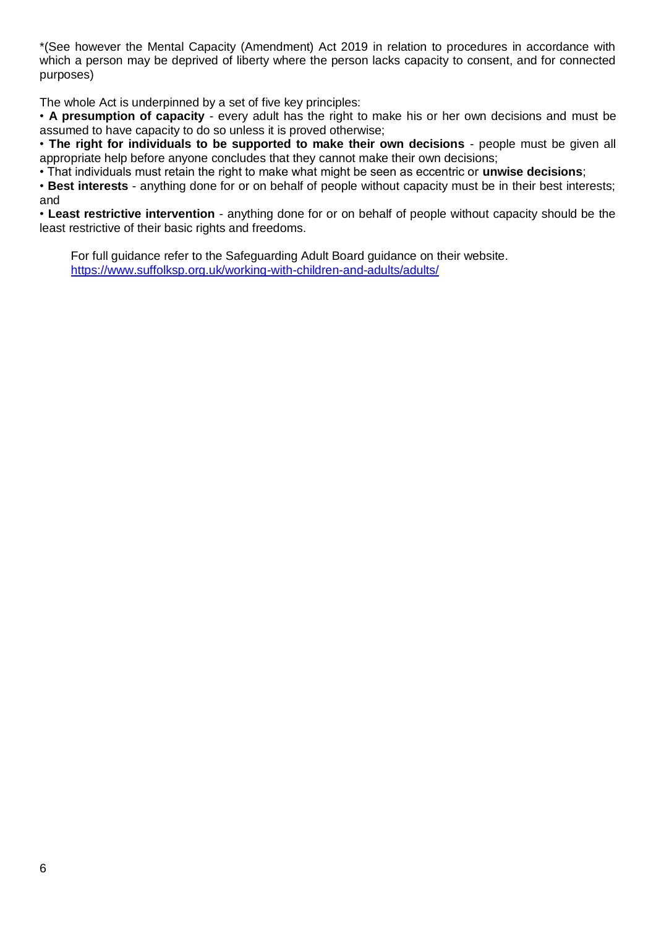\*(See however the Mental Capacity (Amendment) Act 2019 in relation to procedures in accordance with which a person may be deprived of liberty where the person lacks capacity to consent, and for connected purposes)

The whole Act is underpinned by a set of five key principles:

• **A presumption of capacity** - every adult has the right to make his or her own decisions and must be assumed to have capacity to do so unless it is proved otherwise;

• **The right for individuals to be supported to make their own decisions** - people must be given all appropriate help before anyone concludes that they cannot make their own decisions;

• That individuals must retain the right to make what might be seen as eccentric or **unwise decisions**;

• **Best interests** - anything done for or on behalf of people without capacity must be in their best interests; and

• **Least restrictive intervention** - anything done for or on behalf of people without capacity should be the least restrictive of their basic rights and freedoms.

For full guidance refer to the Safeguarding Adult Board guidance on their website. <https://www.suffolksp.org.uk/working-with-children-and-adults/adults/>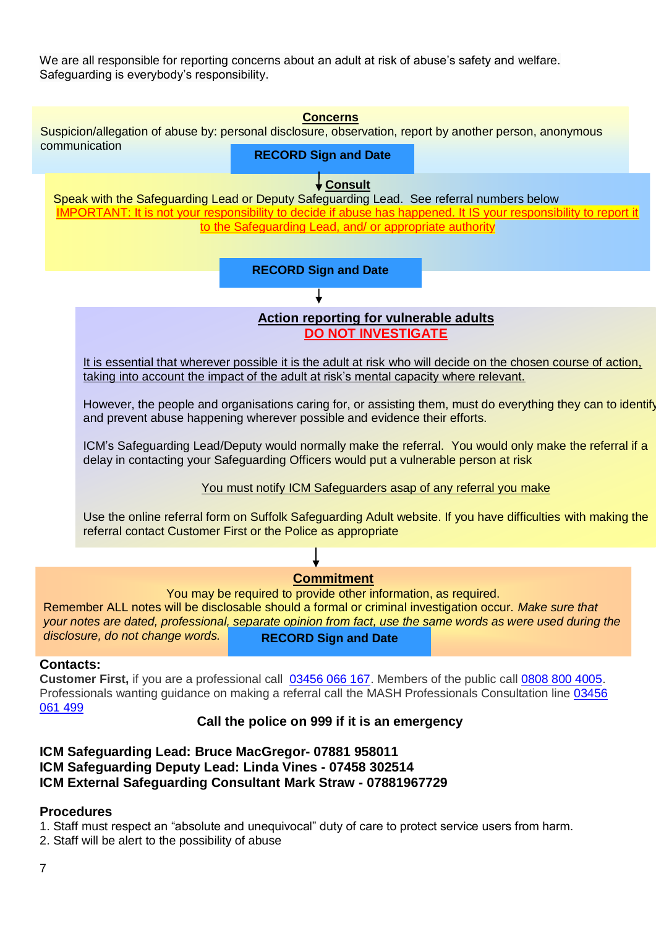We are all responsible for reporting concerns about an adult at risk of abuse's safety and welfare. Safeguarding is everybody's responsibility.



# **Commitment**

You may be required to provide other information, as required.

Remember ALL notes will be disclosable should a formal or criminal investigation occur. *Make sure that your notes are dated, professional, separate opinion from fact, use the same words as were used during the disclosure, do not change words.* **RECORD Sign and Date**

#### **Contacts:**

**Customer First,** if you are a professional call [03456 066 167.](tel:00443456066167) Members of the public call [0808 800 4005.](tel:00448088004005) Professionals wanting guidance on making a referral call the MASH Professionals Consultation line [03456](tel:00443456061499)  [061 499](tel:00443456061499)

#### **Call the police on 999 if it is an emergency**

# **ICM Safeguarding Lead: Bruce MacGregor- 07881 958011 ICM Safeguarding Deputy Lead: Linda Vines - 07458 302514 ICM External Safeguarding Consultant Mark Straw - 07881967729**

# <span id="page-6-0"></span>**Procedures**

- 1. Staff must respect an "absolute and unequivocal" duty of care to protect service users from harm.
- 2. Staff will be alert to the possibility of abuse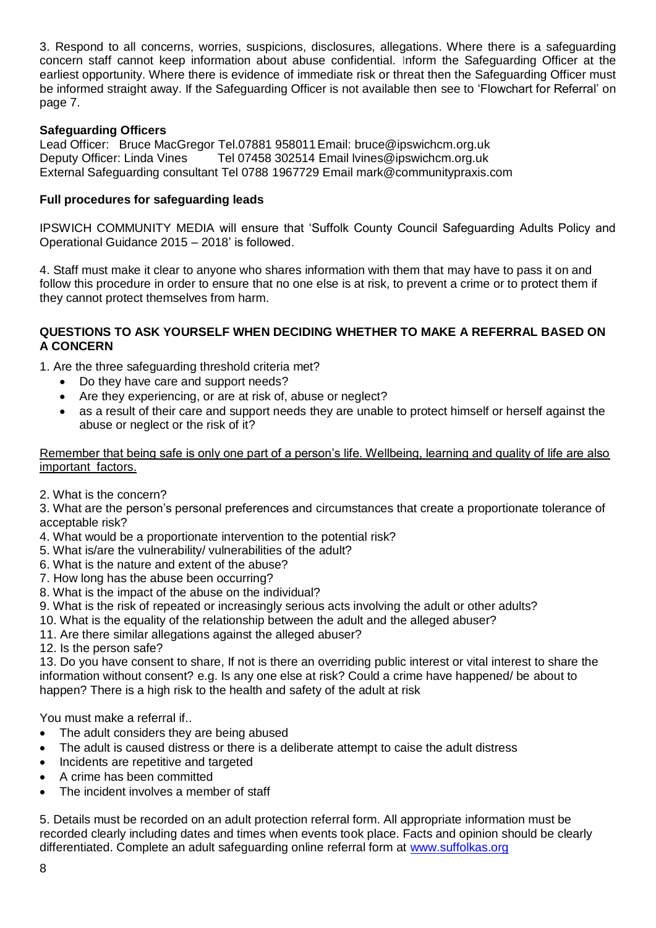3. Respond to all concerns, worries, suspicions, disclosures, allegations. Where there is a safeguarding concern staff cannot keep information about abuse confidential. Inform the Safeguarding Officer at the earliest opportunity. Where there is evidence of immediate risk or threat then the Safeguarding Officer must be informed straight away. If the Safeguarding Officer is not available then see to 'Flowchart for Referral' on page 7.

## **Safeguarding Officers**

Lead Officer: Bruce MacGregor Tel.07881 958011Email: bruce@ipswichcm.org.uk Deputy Officer: Linda Vines Tel 07458 302514 Email lvines@ipswichcm.org.uk External Safeguarding consultant Tel 0788 1967729 Email mark@communitypraxis.com

#### <span id="page-7-0"></span>**Full procedures for safeguarding leads**

IPSWICH COMMUNITY MEDIA will ensure that 'Suffolk County Council Safeguarding Adults Policy and Operational Guidance 2015 – 2018' is followed.

4. Staff must make it clear to anyone who shares information with them that may have to pass it on and follow this procedure in order to ensure that no one else is at risk, to prevent a crime or to protect them if they cannot protect themselves from harm.

#### <span id="page-7-1"></span>**QUESTIONS TO ASK YOURSELF WHEN DECIDING WHETHER TO MAKE A REFERRAL BASED ON A CONCERN**

1. Are the three safeguarding threshold criteria met?

- Do they have care and support needs?
- Are they experiencing, or are at risk of, abuse or neglect?
- as a result of their care and support needs they are unable to protect himself or herself against the abuse or neglect or the risk of it?

Remember that being safe is only one part of a person's life. Wellbeing, learning and quality of life are also important factors.

2. What is the concern?

3. What are the person's personal preferences and circumstances that create a proportionate tolerance of acceptable risk?

- 4. What would be a proportionate intervention to the potential risk?
- 5. What is/are the vulnerability/ vulnerabilities of the adult?
- 6. What is the nature and extent of the abuse?
- 7. How long has the abuse been occurring?
- 8. What is the impact of the abuse on the individual?
- 9. What is the risk of repeated or increasingly serious acts involving the adult or other adults?
- 10. What is the equality of the relationship between the adult and the alleged abuser?
- 11. Are there similar allegations against the alleged abuser?
- 12. Is the person safe?

13. Do you have consent to share, If not is there an overriding public interest or vital interest to share the information without consent? e.g. Is any one else at risk? Could a crime have happened/ be about to happen? There is a high risk to the health and safety of the adult at risk

You must make a referral if..

- The adult considers they are being abused
- The adult is caused distress or there is a deliberate attempt to caise the adult distress
- Incidents are repetitive and targeted
- A crime has been committed
- The incident involves a member of staff

5. Details must be recorded on an adult protection referral form. All appropriate information must be recorded clearly including dates and times when events took place. Facts and opinion should be clearly differentiated. Complete an adult safeguarding online referral form at [www.suffolkas.org](http://www.suffolkas.org/)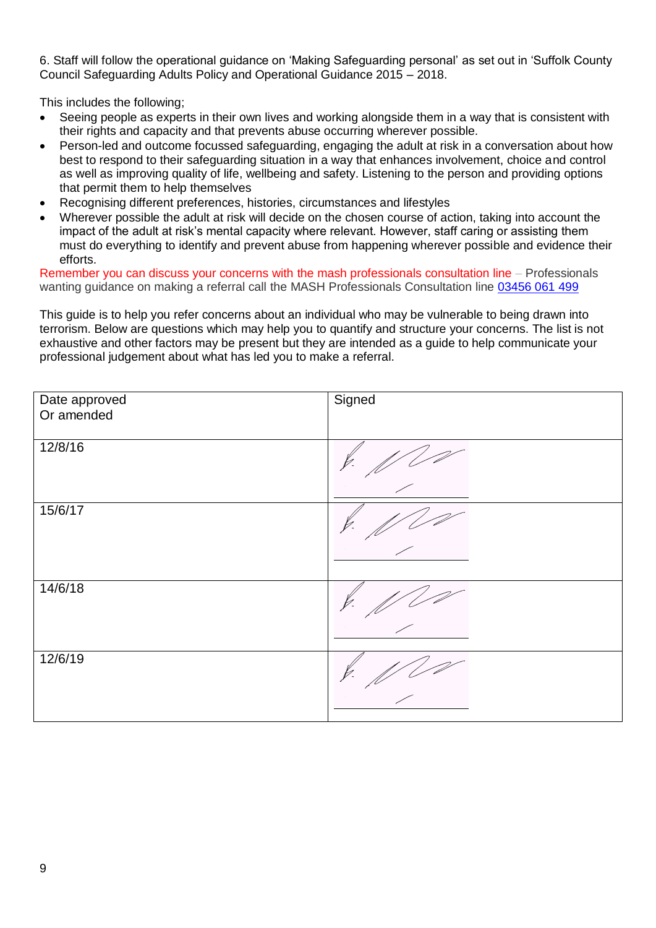6. Staff will follow the operational guidance on 'Making Safeguarding personal' as set out in 'Suffolk County Council Safeguarding Adults Policy and Operational Guidance 2015 – 2018.

This includes the following;

- Seeing people as experts in their own lives and working alongside them in a way that is consistent with their rights and capacity and that prevents abuse occurring wherever possible.
- Person-led and outcome focussed safeguarding, engaging the adult at risk in a conversation about how best to respond to their safeguarding situation in a way that enhances involvement, choice and control as well as improving quality of life, wellbeing and safety. Listening to the person and providing options that permit them to help themselves
- Recognising different preferences, histories, circumstances and lifestyles
- Wherever possible the adult at risk will decide on the chosen course of action, taking into account the impact of the adult at risk's mental capacity where relevant. However, staff caring or assisting them must do everything to identify and prevent abuse from happening wherever possible and evidence their efforts.

Remember you can discuss your concerns with the mash professionals consultation line – Professionals wanting guidance on making a referral call the MASH Professionals Consultation line 03456 [061 499](tel:00443456061499)

This guide is to help you refer concerns about an individual who may be vulnerable to being drawn into terrorism. Below are questions which may help you to quantify and structure your concerns. The list is not exhaustive and other factors may be present but they are intended as a guide to help communicate your professional judgement about what has led you to make a referral.

| Date approved<br>Or amended | Signed |
|-----------------------------|--------|
| 12/8/16                     |        |
| 15/6/17                     |        |
| 14/6/18                     |        |
| 12/6/19                     |        |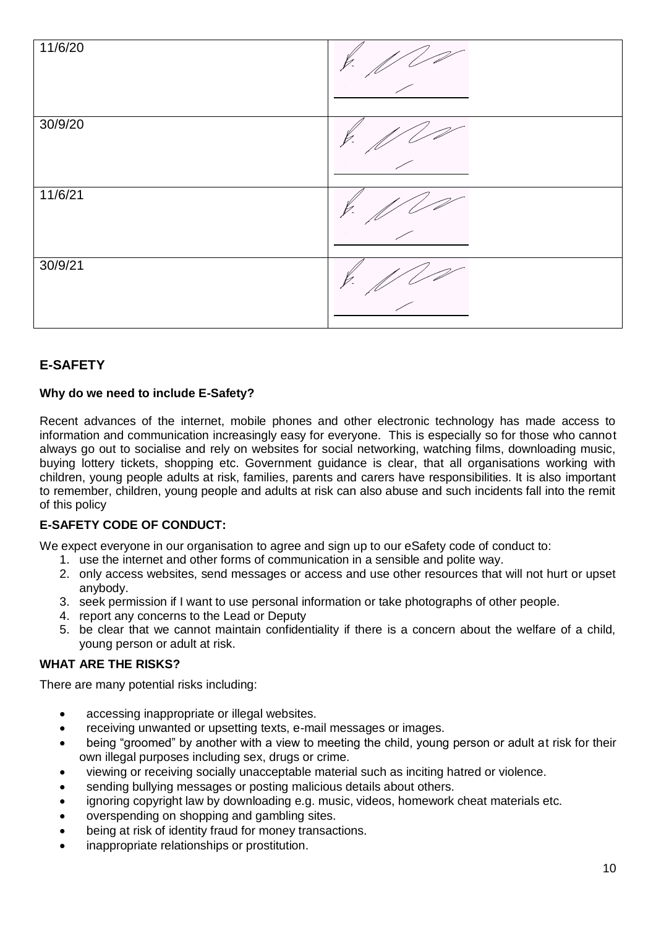

# <span id="page-9-0"></span>**E-SAFETY**

## **Why do we need to include E-Safety?**

Recent advances of the internet, mobile phones and other electronic technology has made access to information and communication increasingly easy for everyone. This is especially so for those who cannot always go out to socialise and rely on websites for social networking, watching films, downloading music, buying lottery tickets, shopping etc. Government guidance is clear, that all organisations working with children, young people adults at risk, families, parents and carers have responsibilities. It is also important to remember, children, young people and adults at risk can also abuse and such incidents fall into the remit of this policy

# <span id="page-9-1"></span>**E-SAFETY CODE OF CONDUCT:**

We expect everyone in our organisation to agree and sign up to our eSafety code of conduct to:

- 1. use the internet and other forms of communication in a sensible and polite way.
- 2. only access websites, send messages or access and use other resources that will not hurt or upset anybody.
- 3. seek permission if I want to use personal information or take photographs of other people.
- 4. report any concerns to the Lead or Deputy
- 5. be clear that we cannot maintain confidentiality if there is a concern about the welfare of a child, young person or adult at risk.

#### <span id="page-9-2"></span>**WHAT ARE THE RISKS?**

There are many potential risks including:

- accessing inappropriate or illegal websites.
- receiving unwanted or upsetting texts, e-mail messages or images.
- being "groomed" by another with a view to meeting the child, young person or adult at risk for their own illegal purposes including sex, drugs or crime.
- viewing or receiving socially unacceptable material such as inciting hatred or violence.
- sending bullying messages or posting malicious details about others.
- ignoring copyright law by downloading e.g. music, videos, homework cheat materials etc.
- overspending on shopping and gambling sites.
- being at risk of identity fraud for money transactions.
- inappropriate relationships or prostitution.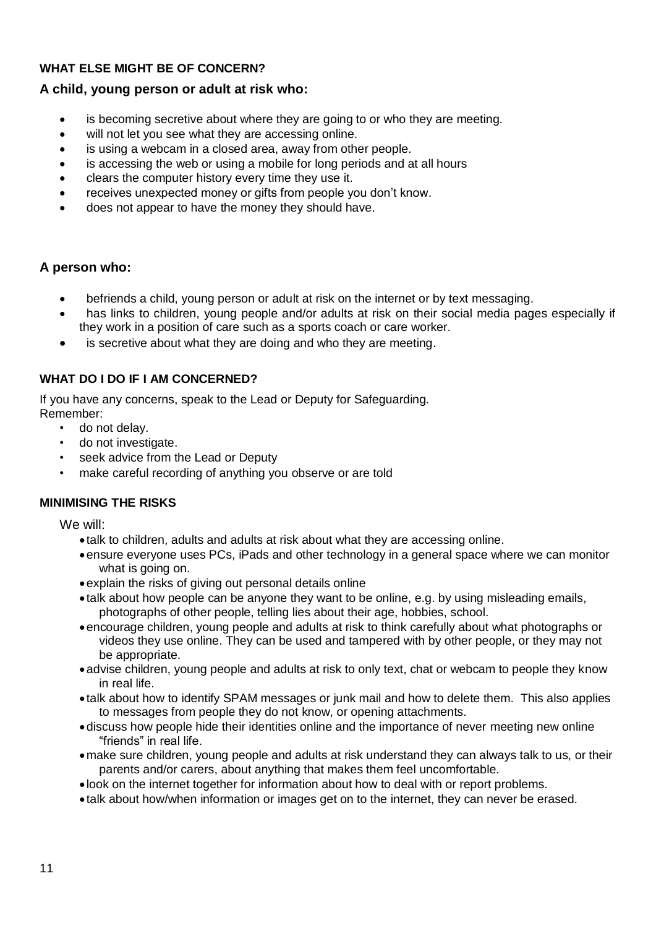# <span id="page-10-0"></span>**WHAT ELSE MIGHT BE OF CONCERN?**

# **A child, young person or adult at risk who:**

- is becoming secretive about where they are going to or who they are meeting.
- will not let you see what they are accessing online.
- is using a webcam in a closed area, away from other people.
- is accessing the web or using a mobile for long periods and at all hours
- clears the computer history every time they use it.
- receives unexpected money or gifts from people you don't know.
- does not appear to have the money they should have.

# **A person who:**

- befriends a child, young person or adult at risk on the internet or by text messaging.
- has links to children, young people and/or adults at risk on their social media pages especially if they work in a position of care such as a sports coach or care worker.
- is secretive about what they are doing and who they are meeting.

## <span id="page-10-1"></span>**WHAT DO I DO IF I AM CONCERNED?**

If you have any concerns, speak to the Lead or Deputy for Safeguarding. Remember:

- do not delay.
- do not investigate.
- seek advice from the Lead or Deputy
- make careful recording of anything you observe or are told

# <span id="page-10-2"></span>**MINIMISING THE RISKS**

We will:

- talk to children, adults and adults at risk about what they are accessing online.
- ensure everyone uses PCs, iPads and other technology in a general space where we can monitor what is going on.
- explain the risks of giving out personal details online
- talk about how people can be anyone they want to be online, e.g. by using misleading emails, photographs of other people, telling lies about their age, hobbies, school.
- encourage children, young people and adults at risk to think carefully about what photographs or videos they use online. They can be used and tampered with by other people, or they may not be appropriate.
- advise children, young people and adults at risk to only text, chat or webcam to people they know in real life.
- talk about how to identify SPAM messages or junk mail and how to delete them. This also applies to messages from people they do not know, or opening attachments.
- discuss how people hide their identities online and the importance of never meeting new online "friends" in real life.
- make sure children, young people and adults at risk understand they can always talk to us, or their parents and/or carers, about anything that makes them feel uncomfortable.
- look on the internet together for information about how to deal with or report problems.
- talk about how/when information or images get on to the internet, they can never be erased.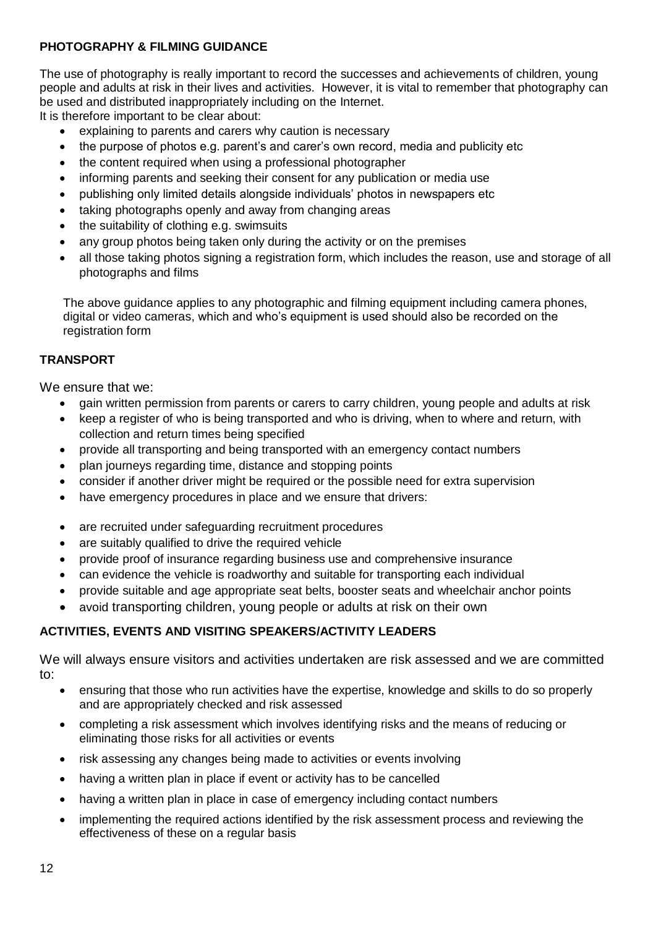# <span id="page-11-0"></span>**PHOTOGRAPHY & FILMING GUIDANCE**

The use of photography is really important to record the successes and achievements of children, young people and adults at risk in their lives and activities. However, it is vital to remember that photography can be used and distributed inappropriately including on the Internet.

It is therefore important to be clear about:

- explaining to parents and carers why caution is necessary
- the purpose of photos e.g. parent's and carer's own record, media and publicity etc
- the content required when using a professional photographer
- informing parents and seeking their consent for any publication or media use
- publishing only limited details alongside individuals' photos in newspapers etc
- taking photographs openly and away from changing areas
- the suitability of clothing e.g. swimsuits
- any group photos being taken only during the activity or on the premises
- all those taking photos signing a registration form, which includes the reason, use and storage of all photographs and films

The above guidance applies to any photographic and filming equipment including camera phones, digital or video cameras, which and who's equipment is used should also be recorded on the registration form

## <span id="page-11-1"></span>**TRANSPORT**

We ensure that we:

- gain written permission from parents or carers to carry children, young people and adults at risk
- keep a register of who is being transported and who is driving, when to where and return, with collection and return times being specified
- provide all transporting and being transported with an emergency contact numbers
- plan journeys regarding time, distance and stopping points
- consider if another driver might be required or the possible need for extra supervision
- have emergency procedures in place and we ensure that drivers:
- are recruited under safeguarding recruitment procedures
- are suitably qualified to drive the required vehicle
- provide proof of insurance regarding business use and comprehensive insurance
- can evidence the vehicle is roadworthy and suitable for transporting each individual
- provide suitable and age appropriate seat belts, booster seats and wheelchair anchor points
- avoid transporting children, young people or adults at risk on their own

# <span id="page-11-2"></span>**ACTIVITIES, EVENTS AND VISITING SPEAKERS/ACTIVITY LEADERS**

We will always ensure visitors and activities undertaken are risk assessed and we are committed to:

- ensuring that those who run activities have the expertise, knowledge and skills to do so properly and are appropriately checked and risk assessed
- completing a risk assessment which involves identifying risks and the means of reducing or eliminating those risks for all activities or events
- risk assessing any changes being made to activities or events involving
- having a written plan in place if event or activity has to be cancelled
- having a written plan in place in case of emergency including contact numbers
- implementing the required actions identified by the risk assessment process and reviewing the effectiveness of these on a regular basis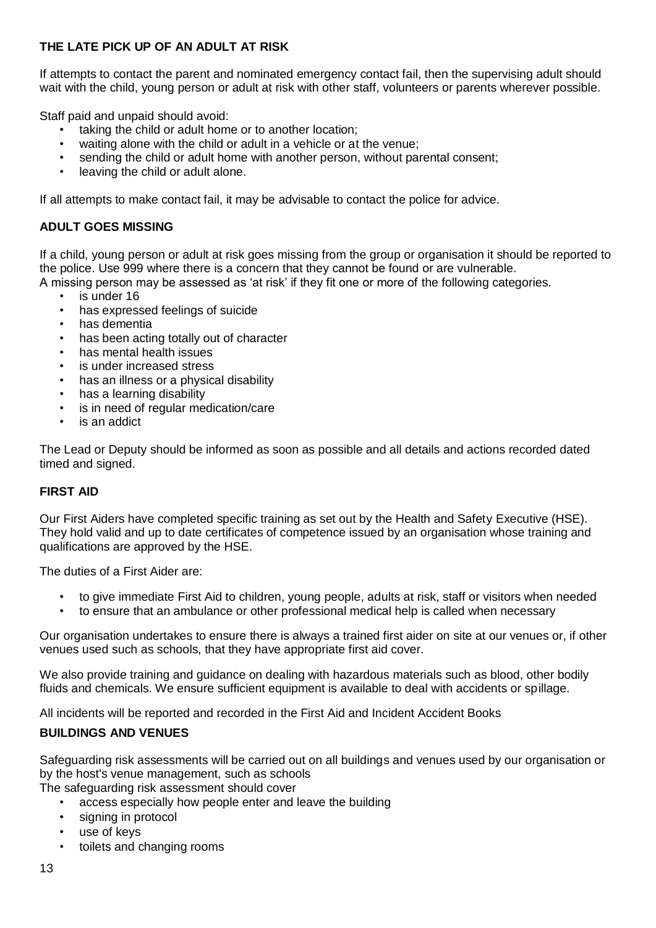# <span id="page-12-0"></span>**THE LATE PICK UP OF AN ADULT AT RISK**

If attempts to contact the parent and nominated emergency contact fail, then the supervising adult should wait with the child, young person or adult at risk with other staff, volunteers or parents wherever possible.

Staff paid and unpaid should avoid:

- taking the child or adult home or to another location:
- waiting alone with the child or adult in a vehicle or at the venue;
- sending the child or adult home with another person, without parental consent;
- <span id="page-12-1"></span>leaving the child or adult alone.

If all attempts to make contact fail, it may be advisable to contact the police for advice.

## **ADULT GOES MISSING**

If a child, young person or adult at risk goes missing from the group or organisation it should be reported to the police. Use 999 where there is a concern that they cannot be found or are vulnerable.

A missing person may be assessed as 'at risk' if they fit one or more of the following categories.

- is under 16
- has expressed feelings of suicide
- has dementia
- has been acting totally out of character
- has mental health issues
- is under increased stress
- has an illness or a physical disability
- has a learning disability
- is in need of regular medication/care
- is an addict

The Lead or Deputy should be informed as soon as possible and all details and actions recorded dated timed and signed.

#### <span id="page-12-2"></span>**FIRST AID**

Our First Aiders have completed specific training as set out by the Health and Safety Executive (HSE). They hold valid and up to date certificates of competence issued by an organisation whose training and qualifications are approved by the HSE.

The duties of a First Aider are:

- to give immediate First Aid to children, young people, adults at risk, staff or visitors when needed
- to ensure that an ambulance or other professional medical help is called when necessary

Our organisation undertakes to ensure there is always a trained first aider on site at our venues or, if other venues used such as schools, that they have appropriate first aid cover.

We also provide training and guidance on dealing with hazardous materials such as blood, other bodily fluids and chemicals. We ensure sufficient equipment is available to deal with accidents or spillage.

All incidents will be reported and recorded in the First Aid and Incident Accident Books

#### <span id="page-12-3"></span>**BUILDINGS AND VENUES**

Safeguarding risk assessments will be carried out on all buildings and venues used by our organisation or by the host's venue management, such as schools

The safeguarding risk assessment should cover

- access especially how people enter and leave the building
- signing in protocol
- use of kevs
- toilets and changing rooms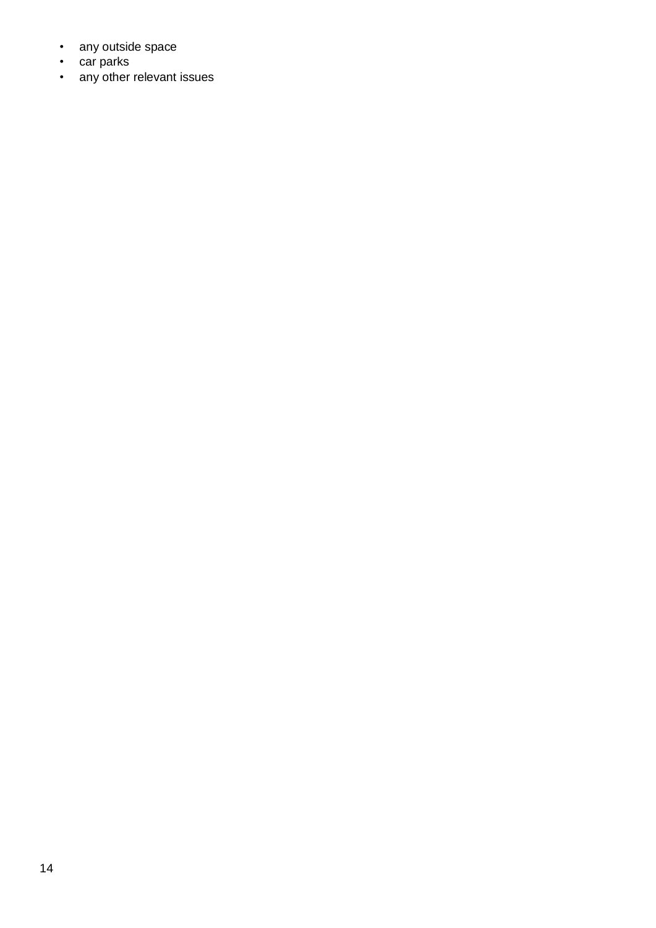- any outside space
- car parks
- any other relevant issues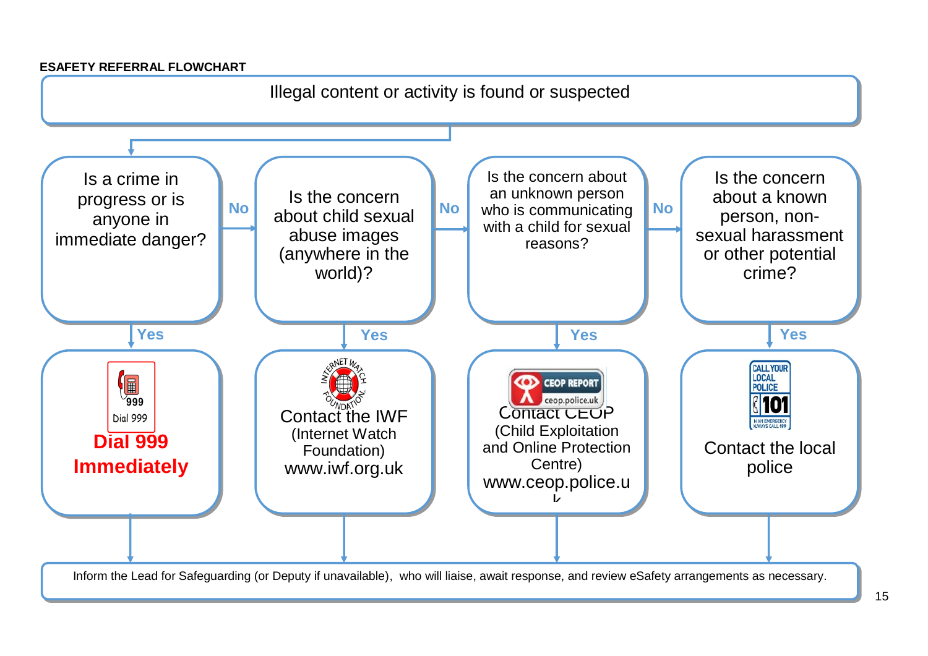## **ESAFETY REFERRAL FLOWCHART**

<span id="page-14-0"></span>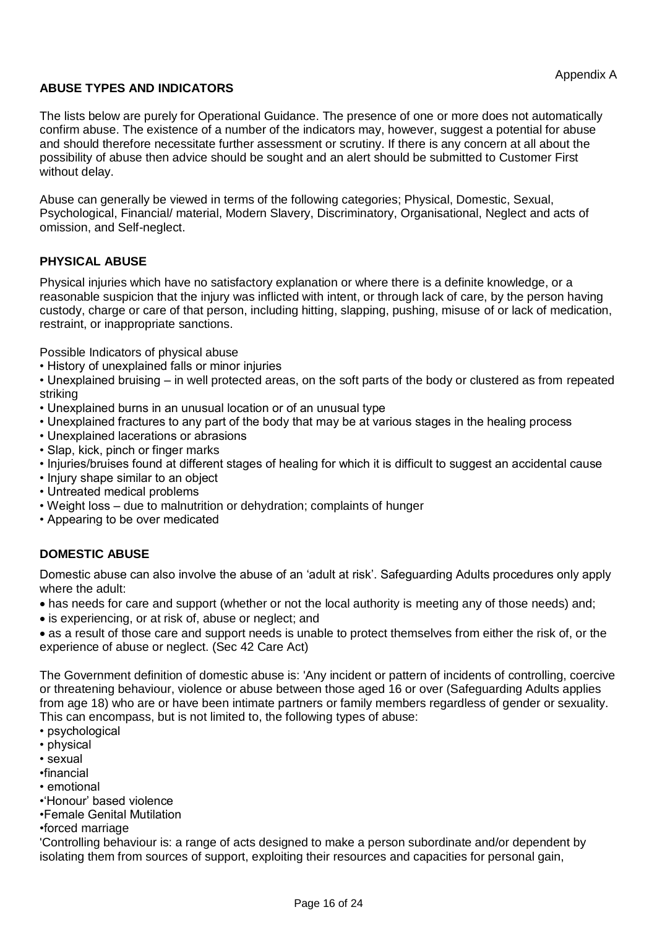## <span id="page-15-0"></span>**ABUSE TYPES AND INDICATORS**

The lists below are purely for Operational Guidance. The presence of one or more does not automatically confirm abuse. The existence of a number of the indicators may, however, suggest a potential for abuse and should therefore necessitate further assessment or scrutiny. If there is any concern at all about the possibility of abuse then advice should be sought and an alert should be submitted to Customer First without delay.

Abuse can generally be viewed in terms of the following categories; Physical, Domestic, Sexual, Psychological, Financial/ material, Modern Slavery, Discriminatory, Organisational, Neglect and acts of omission, and Self-neglect.

## <span id="page-15-1"></span>**PHYSICAL ABUSE**

Physical injuries which have no satisfactory explanation or where there is a definite knowledge, or a reasonable suspicion that the injury was inflicted with intent, or through lack of care, by the person having custody, charge or care of that person, including hitting, slapping, pushing, misuse of or lack of medication, restraint, or inappropriate sanctions.

Possible Indicators of physical abuse

• History of unexplained falls or minor injuries

• Unexplained bruising – in well protected areas, on the soft parts of the body or clustered as from repeated striking

- Unexplained burns in an unusual location or of an unusual type
- Unexplained fractures to any part of the body that may be at various stages in the healing process
- Unexplained lacerations or abrasions
- Slap, kick, pinch or finger marks
- Injuries/bruises found at different stages of healing for which it is difficult to suggest an accidental cause
- Injury shape similar to an object
- Untreated medical problems
- Weight loss due to malnutrition or dehydration; complaints of hunger
- Appearing to be over medicated

# <span id="page-15-2"></span>**DOMESTIC ABUSE**

Domestic abuse can also involve the abuse of an 'adult at risk'. Safeguarding Adults procedures only apply where the adult:

- has needs for care and support (whether or not the local authority is meeting any of those needs) and;
- is experiencing, or at risk of, abuse or neglect; and

 as a result of those care and support needs is unable to protect themselves from either the risk of, or the experience of abuse or neglect. (Sec 42 Care Act)

The Government definition of domestic abuse is: 'Any incident or pattern of incidents of controlling, coercive or threatening behaviour, violence or abuse between those aged 16 or over (Safeguarding Adults applies from age 18) who are or have been intimate partners or family members regardless of gender or sexuality. This can encompass, but is not limited to, the following types of abuse:

- psychological
- physical
- sexual
- •financial
- emotional
- •'Honour' based violence
- •Female Genital Mutilation
- •forced marriage

'Controlling behaviour is: a range of acts designed to make a person subordinate and/or dependent by isolating them from sources of support, exploiting their resources and capacities for personal gain,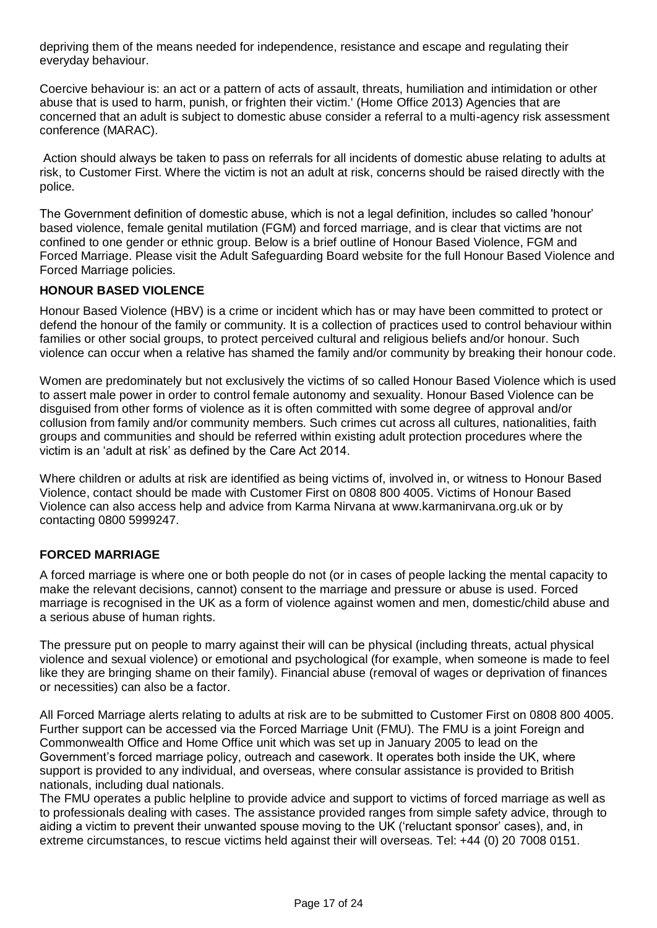depriving them of the means needed for independence, resistance and escape and regulating their everyday behaviour.

Coercive behaviour is: an act or a pattern of acts of assault, threats, humiliation and intimidation or other abuse that is used to harm, punish, or frighten their victim.' (Home Office 2013) Agencies that are concerned that an adult is subject to domestic abuse consider a referral to a multi-agency risk assessment conference (MARAC).

Action should always be taken to pass on referrals for all incidents of domestic abuse relating to adults at risk, to Customer First. Where the victim is not an adult at risk, concerns should be raised directly with the police.

The Government definition of domestic abuse, which is not a legal definition, includes so called 'honour' based violence, female genital mutilation (FGM) and forced marriage, and is clear that victims are not confined to one gender or ethnic group. Below is a brief outline of Honour Based Violence, FGM and Forced Marriage. Please visit the Adult Safeguarding Board website for the full Honour Based Violence and Forced Marriage policies.

#### <span id="page-16-0"></span>**HONOUR BASED VIOLENCE**

Honour Based Violence (HBV) is a crime or incident which has or may have been committed to protect or defend the honour of the family or community. It is a collection of practices used to control behaviour within families or other social groups, to protect perceived cultural and religious beliefs and/or honour. Such violence can occur when a relative has shamed the family and/or community by breaking their honour code.

Women are predominately but not exclusively the victims of so called Honour Based Violence which is used to assert male power in order to control female autonomy and sexuality. Honour Based Violence can be disguised from other forms of violence as it is often committed with some degree of approval and/or collusion from family and/or community members. Such crimes cut across all cultures, nationalities, faith groups and communities and should be referred within existing adult protection procedures where the victim is an 'adult at risk' as defined by the Care Act 2014.

Where children or adults at risk are identified as being victims of, involved in, or witness to Honour Based Violence, contact should be made with Customer First on 0808 800 4005. Victims of Honour Based Violence can also access help and advice from Karma Nirvana at www.karmanirvana.org.uk or by contacting 0800 5999247.

# <span id="page-16-1"></span>**FORCED MARRIAGE**

A forced marriage is where one or both people do not (or in cases of people lacking the mental capacity to make the relevant decisions, cannot) consent to the marriage and pressure or abuse is used. Forced marriage is recognised in the UK as a form of violence against women and men, domestic/child abuse and a serious abuse of human rights.

The pressure put on people to marry against their will can be physical (including threats, actual physical violence and sexual violence) or emotional and psychological (for example, when someone is made to feel like they are bringing shame on their family). Financial abuse (removal of wages or deprivation of finances or necessities) can also be a factor.

All Forced Marriage alerts relating to adults at risk are to be submitted to Customer First on 0808 800 4005. Further support can be accessed via the Forced Marriage Unit (FMU). The FMU is a joint Foreign and Commonwealth Office and Home Office unit which was set up in January 2005 to lead on the Government's forced marriage policy, outreach and casework. It operates both inside the UK, where support is provided to any individual, and overseas, where consular assistance is provided to British nationals, including dual nationals.

The FMU operates a public helpline to provide advice and support to victims of forced marriage as well as to professionals dealing with cases. The assistance provided ranges from simple safety advice, through to aiding a victim to prevent their unwanted spouse moving to the UK ('reluctant sponsor' cases), and, in extreme circumstances, to rescue victims held against their will overseas. Tel: +44 (0) 20 7008 0151.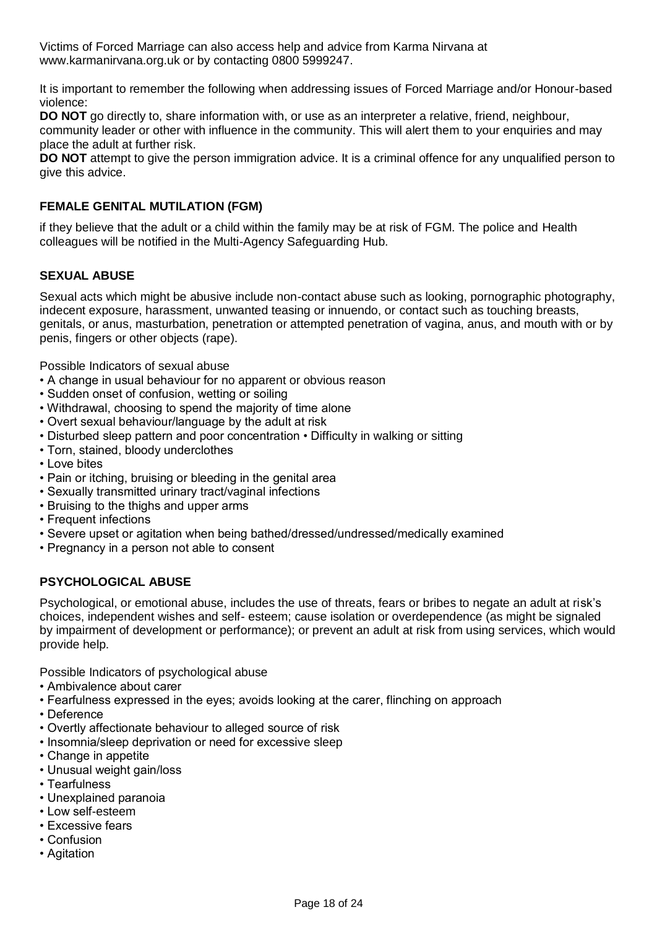Victims of Forced Marriage can also access help and advice from Karma Nirvana at www.karmanirvana.org.uk or by contacting 0800 5999247.

It is important to remember the following when addressing issues of Forced Marriage and/or Honour-based violence:

**DO NOT** go directly to, share information with, or use as an interpreter a relative, friend, neighbour, community leader or other with influence in the community. This will alert them to your enquiries and may place the adult at further risk.

**DO NOT** attempt to give the person immigration advice. It is a criminal offence for any unqualified person to give this advice.

## <span id="page-17-0"></span>**FEMALE GENITAL MUTILATION (FGM)**

if they believe that the adult or a child within the family may be at risk of FGM. The police and Health colleagues will be notified in the Multi-Agency Safeguarding Hub.

#### <span id="page-17-1"></span>**SEXUAL ABUSE**

Sexual acts which might be abusive include non-contact abuse such as looking, pornographic photography, indecent exposure, harassment, unwanted teasing or innuendo, or contact such as touching breasts, genitals, or anus, masturbation, penetration or attempted penetration of vagina, anus, and mouth with or by penis, fingers or other objects (rape).

Possible Indicators of sexual abuse

- A change in usual behaviour for no apparent or obvious reason
- Sudden onset of confusion, wetting or soiling
- Withdrawal, choosing to spend the majority of time alone
- Overt sexual behaviour/language by the adult at risk
- Disturbed sleep pattern and poor concentration Difficulty in walking or sitting
- Torn, stained, bloody underclothes
- Love bites
- Pain or itching, bruising or bleeding in the genital area
- Sexually transmitted urinary tract/vaginal infections
- Bruising to the thighs and upper arms
- Frequent infections
- Severe upset or agitation when being bathed/dressed/undressed/medically examined
- Pregnancy in a person not able to consent

#### <span id="page-17-2"></span>**PSYCHOLOGICAL ABUSE**

Psychological, or emotional abuse, includes the use of threats, fears or bribes to negate an adult at risk's choices, independent wishes and self- esteem; cause isolation or overdependence (as might be signaled by impairment of development or performance); or prevent an adult at risk from using services, which would provide help.

Possible Indicators of psychological abuse

- Ambivalence about carer
- Fearfulness expressed in the eyes; avoids looking at the carer, flinching on approach
- Deference
- Overtly affectionate behaviour to alleged source of risk
- Insomnia/sleep deprivation or need for excessive sleep
- Change in appetite
- Unusual weight gain/loss
- Tearfulness
- Unexplained paranoia
- Low self-esteem
- Excessive fears
- Confusion
- Agitation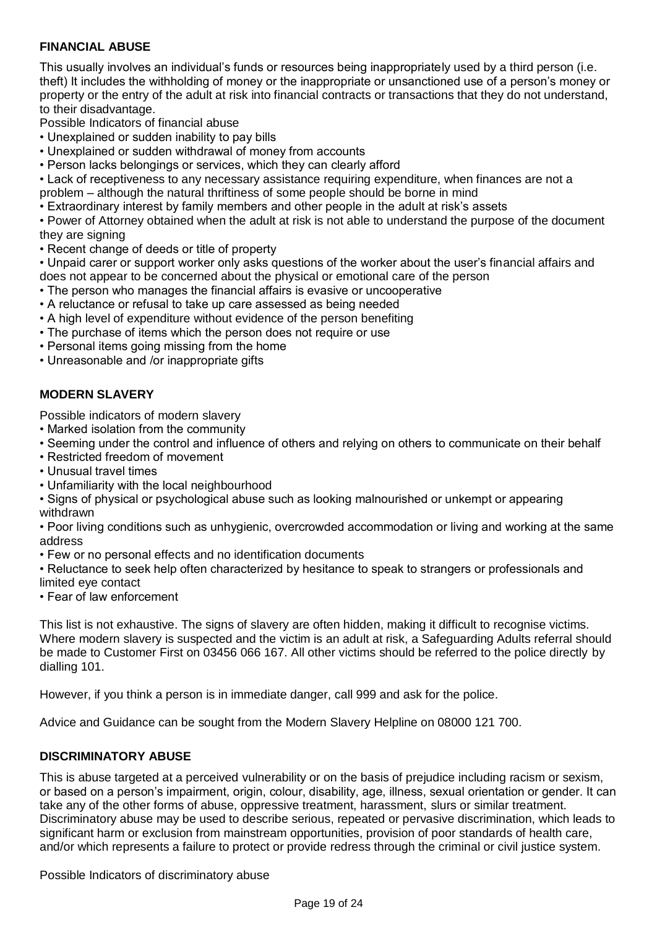## <span id="page-18-0"></span>**FINANCIAL ABUSE**

This usually involves an individual's funds or resources being inappropriately used by a third person (i.e. theft) It includes the withholding of money or the inappropriate or unsanctioned use of a person's money or property or the entry of the adult at risk into financial contracts or transactions that they do not understand, to their disadvantage.

Possible Indicators of financial abuse

- Unexplained or sudden inability to pay bills
- Unexplained or sudden withdrawal of money from accounts
- Person lacks belongings or services, which they can clearly afford

• Lack of receptiveness to any necessary assistance requiring expenditure, when finances are not a problem – although the natural thriftiness of some people should be borne in mind

• Extraordinary interest by family members and other people in the adult at risk's assets

• Power of Attorney obtained when the adult at risk is not able to understand the purpose of the document they are signing

• Recent change of deeds or title of property

• Unpaid carer or support worker only asks questions of the worker about the user's financial affairs and does not appear to be concerned about the physical or emotional care of the person

- The person who manages the financial affairs is evasive or uncooperative
- A reluctance or refusal to take up care assessed as being needed
- A high level of expenditure without evidence of the person benefiting
- The purchase of items which the person does not require or use
- Personal items going missing from the home
- Unreasonable and /or inappropriate gifts

## <span id="page-18-1"></span>**MODERN SLAVERY**

Possible indicators of modern slavery

- Marked isolation from the community
- Seeming under the control and influence of others and relying on others to communicate on their behalf
- Restricted freedom of movement
- Unusual travel times
- Unfamiliarity with the local neighbourhood

• Signs of physical or psychological abuse such as looking malnourished or unkempt or appearing withdrawn

• Poor living conditions such as unhygienic, overcrowded accommodation or living and working at the same address

• Few or no personal effects and no identification documents

• Reluctance to seek help often characterized by hesitance to speak to strangers or professionals and limited eye contact

• Fear of law enforcement

This list is not exhaustive. The signs of slavery are often hidden, making it difficult to recognise victims. Where modern slavery is suspected and the victim is an adult at risk, a Safeguarding Adults referral should be made to Customer First on 03456 066 167. All other victims should be referred to the police directly by dialling 101.

However, if you think a person is in immediate danger, call 999 and ask for the police.

Advice and Guidance can be sought from the Modern Slavery Helpline on 08000 121 700.

#### <span id="page-18-2"></span>**DISCRIMINATORY ABUSE**

This is abuse targeted at a perceived vulnerability or on the basis of prejudice including racism or sexism, or based on a person's impairment, origin, colour, disability, age, illness, sexual orientation or gender. It can take any of the other forms of abuse, oppressive treatment, harassment, slurs or similar treatment. Discriminatory abuse may be used to describe serious, repeated or pervasive discrimination, which leads to significant harm or exclusion from mainstream opportunities, provision of poor standards of health care, and/or which represents a failure to protect or provide redress through the criminal or civil justice system.

Possible Indicators of discriminatory abuse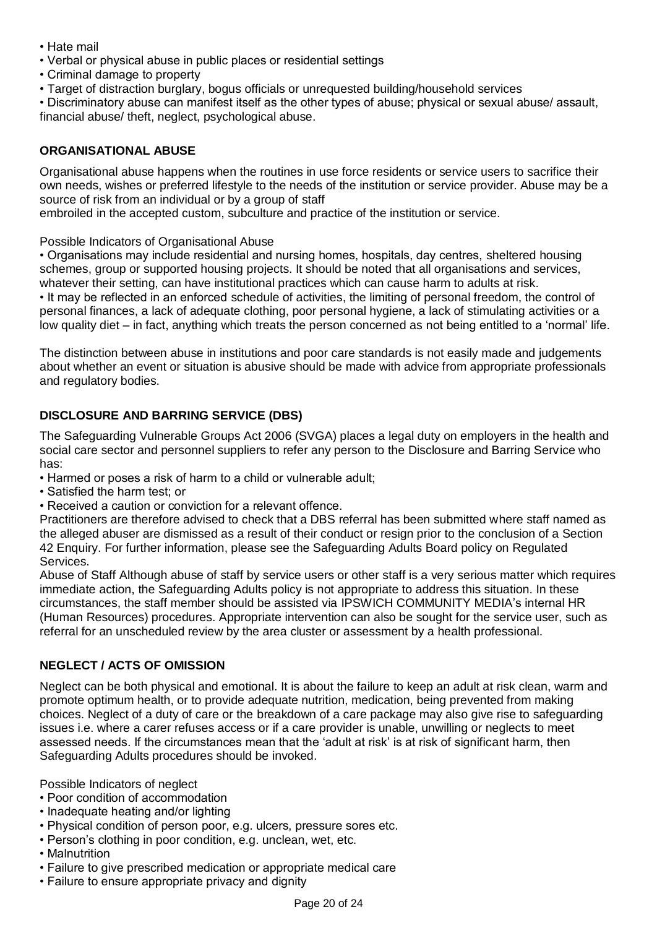- Hate mail
- Verbal or physical abuse in public places or residential settings
- Criminal damage to property
- Target of distraction burglary, bogus officials or unrequested building/household services

• Discriminatory abuse can manifest itself as the other types of abuse; physical or sexual abuse/ assault, financial abuse/ theft, neglect, psychological abuse.

## <span id="page-19-0"></span>**ORGANISATIONAL ABUSE**

Organisational abuse happens when the routines in use force residents or service users to sacrifice their own needs, wishes or preferred lifestyle to the needs of the institution or service provider. Abuse may be a source of risk from an individual or by a group of staff

embroiled in the accepted custom, subculture and practice of the institution or service.

Possible Indicators of Organisational Abuse

• Organisations may include residential and nursing homes, hospitals, day centres, sheltered housing schemes, group or supported housing projects. It should be noted that all organisations and services, whatever their setting, can have institutional practices which can cause harm to adults at risk.

• It may be reflected in an enforced schedule of activities, the limiting of personal freedom, the control of personal finances, a lack of adequate clothing, poor personal hygiene, a lack of stimulating activities or a low quality diet – in fact, anything which treats the person concerned as not being entitled to a 'normal' life.

The distinction between abuse in institutions and poor care standards is not easily made and judgements about whether an event or situation is abusive should be made with advice from appropriate professionals and regulatory bodies.

## <span id="page-19-1"></span>**DISCLOSURE AND BARRING SERVICE (DBS)**

The Safeguarding Vulnerable Groups Act 2006 (SVGA) places a legal duty on employers in the health and social care sector and personnel suppliers to refer any person to the Disclosure and Barring Service who has:

• Harmed or poses a risk of harm to a child or vulnerable adult;

- Satisfied the harm test; or
- Received a caution or conviction for a relevant offence.

Practitioners are therefore advised to check that a DBS referral has been submitted where staff named as the alleged abuser are dismissed as a result of their conduct or resign prior to the conclusion of a Section 42 Enquiry. For further information, please see the Safeguarding Adults Board policy on Regulated Services.

Abuse of Staff Although abuse of staff by service users or other staff is a very serious matter which requires immediate action, the Safeguarding Adults policy is not appropriate to address this situation. In these circumstances, the staff member should be assisted via IPSWICH COMMUNITY MEDIA's internal HR (Human Resources) procedures. Appropriate intervention can also be sought for the service user, such as referral for an unscheduled review by the area cluster or assessment by a health professional.

#### <span id="page-19-2"></span>**NEGLECT / ACTS OF OMISSION**

Neglect can be both physical and emotional. It is about the failure to keep an adult at risk clean, warm and promote optimum health, or to provide adequate nutrition, medication, being prevented from making choices. Neglect of a duty of care or the breakdown of a care package may also give rise to safeguarding issues i.e. where a carer refuses access or if a care provider is unable, unwilling or neglects to meet assessed needs. If the circumstances mean that the 'adult at risk' is at risk of significant harm, then Safeguarding Adults procedures should be invoked.

Possible Indicators of neglect

- Poor condition of accommodation
- Inadequate heating and/or lighting
- Physical condition of person poor, e.g. ulcers, pressure sores etc.
- Person's clothing in poor condition, e.g. unclean, wet, etc.
- Malnutrition
- Failure to give prescribed medication or appropriate medical care
- Failure to ensure appropriate privacy and dignity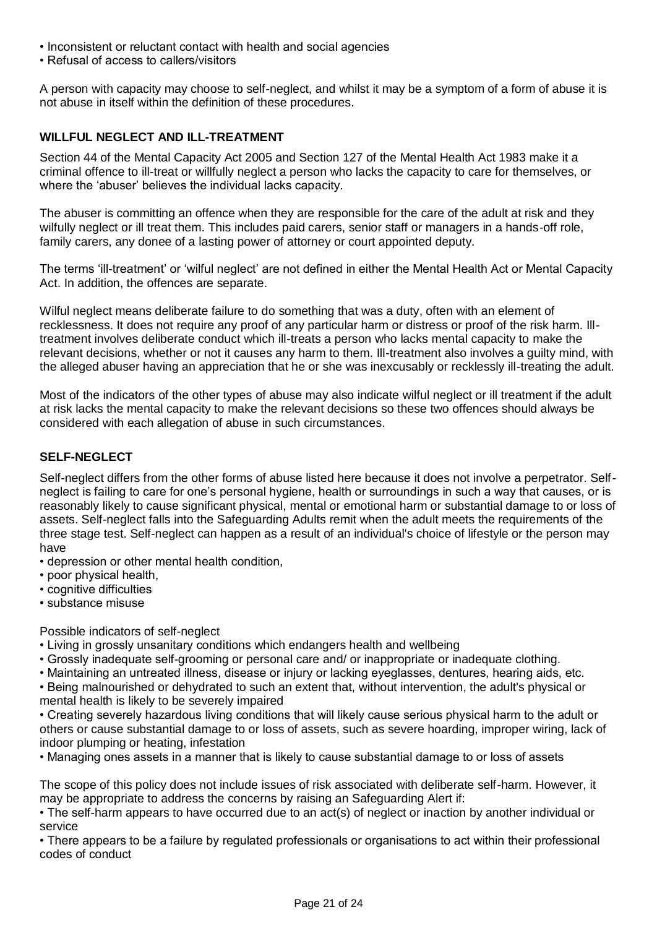- Inconsistent or reluctant contact with health and social agencies
- Refusal of access to callers/visitors

A person with capacity may choose to self-neglect, and whilst it may be a symptom of a form of abuse it is not abuse in itself within the definition of these procedures.

## <span id="page-20-0"></span>**WILLFUL NEGLECT AND ILL-TREATMENT**

Section 44 of the Mental Capacity Act 2005 and Section 127 of the Mental Health Act 1983 make it a criminal offence to ill-treat or willfully neglect a person who lacks the capacity to care for themselves, or where the 'abuser' believes the individual lacks capacity.

The abuser is committing an offence when they are responsible for the care of the adult at risk and they wilfully neglect or ill treat them. This includes paid carers, senior staff or managers in a hands-off role, family carers, any donee of a lasting power of attorney or court appointed deputy.

The terms 'ill-treatment' or 'wilful neglect' are not defined in either the Mental Health Act or Mental Capacity Act. In addition, the offences are separate.

Wilful neglect means deliberate failure to do something that was a duty, often with an element of recklessness. It does not require any proof of any particular harm or distress or proof of the risk harm. Illtreatment involves deliberate conduct which ill-treats a person who lacks mental capacity to make the relevant decisions, whether or not it causes any harm to them. Ill-treatment also involves a guilty mind, with the alleged abuser having an appreciation that he or she was inexcusably or recklessly ill-treating the adult.

Most of the indicators of the other types of abuse may also indicate wilful neglect or ill treatment if the adult at risk lacks the mental capacity to make the relevant decisions so these two offences should always be considered with each allegation of abuse in such circumstances.

## <span id="page-20-1"></span>**SELF-NEGLECT**

Self-neglect differs from the other forms of abuse listed here because it does not involve a perpetrator. Selfneglect is failing to care for one's personal hygiene, health or surroundings in such a way that causes, or is reasonably likely to cause significant physical, mental or emotional harm or substantial damage to or loss of assets. Self-neglect falls into the Safeguarding Adults remit when the adult meets the requirements of the three stage test. Self-neglect can happen as a result of an individual's choice of lifestyle or the person may have

- depression or other mental health condition,
- poor physical health,
- cognitive difficulties
- substance misuse

Possible indicators of self-neglect

- Living in grossly unsanitary conditions which endangers health and wellbeing
- Grossly inadequate self-grooming or personal care and/ or inappropriate or inadequate clothing.
- Maintaining an untreated illness, disease or injury or lacking eyeglasses, dentures, hearing aids, etc.
- Being malnourished or dehydrated to such an extent that, without intervention, the adult's physical or mental health is likely to be severely impaired

• Creating severely hazardous living conditions that will likely cause serious physical harm to the adult or others or cause substantial damage to or loss of assets, such as severe hoarding, improper wiring, lack of indoor plumping or heating, infestation

• Managing ones assets in a manner that is likely to cause substantial damage to or loss of assets

The scope of this policy does not include issues of risk associated with deliberate self-harm. However, it may be appropriate to address the concerns by raising an Safeguarding Alert if:

• The self-harm appears to have occurred due to an act(s) of neglect or inaction by another individual or service

• There appears to be a failure by regulated professionals or organisations to act within their professional codes of conduct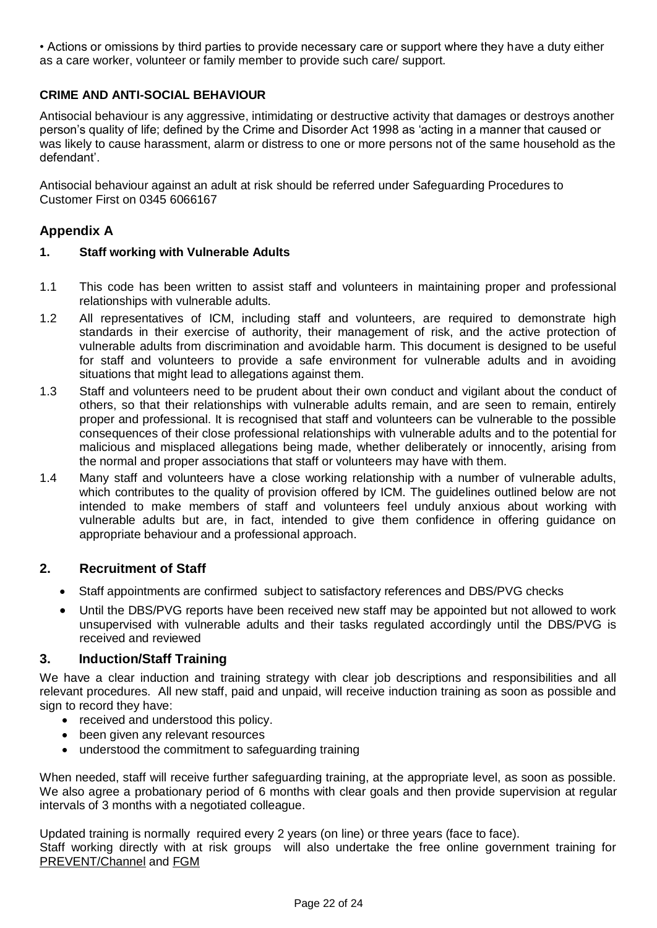• Actions or omissions by third parties to provide necessary care or support where they have a duty either as a care worker, volunteer or family member to provide such care/ support.

## <span id="page-21-0"></span>**CRIME AND ANTI-SOCIAL BEHAVIOUR**

Antisocial behaviour is any aggressive, intimidating or destructive activity that damages or destroys another person's quality of life; defined by the Crime and Disorder Act 1998 as 'acting in a manner that caused or was likely to cause harassment, alarm or distress to one or more persons not of the same household as the defendant'.

Antisocial behaviour against an adult at risk should be referred under Safeguarding Procedures to Customer First on 0345 6066167

# **Appendix A**

#### **1. Staff working with Vulnerable Adults**

- 1.1 This code has been written to assist staff and volunteers in maintaining proper and professional relationships with vulnerable adults.
- 1.2 All representatives of ICM, including staff and volunteers, are required to demonstrate high standards in their exercise of authority, their management of risk, and the active protection of vulnerable adults from discrimination and avoidable harm. This document is designed to be useful for staff and volunteers to provide a safe environment for vulnerable adults and in avoiding situations that might lead to allegations against them.
- 1.3 Staff and volunteers need to be prudent about their own conduct and vigilant about the conduct of others, so that their relationships with vulnerable adults remain, and are seen to remain, entirely proper and professional. It is recognised that staff and volunteers can be vulnerable to the possible consequences of their close professional relationships with vulnerable adults and to the potential for malicious and misplaced allegations being made, whether deliberately or innocently, arising from the normal and proper associations that staff or volunteers may have with them.
- 1.4 Many staff and volunteers have a close working relationship with a number of vulnerable adults, which contributes to the quality of provision offered by ICM. The guidelines outlined below are not intended to make members of staff and volunteers feel unduly anxious about working with vulnerable adults but are, in fact, intended to give them confidence in offering guidance on appropriate behaviour and a professional approach.

#### **2. Recruitment of Staff**

- Staff appointments are confirmed subject to satisfactory references and DBS/PVG checks
- Until the DBS/PVG reports have been received new staff may be appointed but not allowed to work unsupervised with vulnerable adults and their tasks regulated accordingly until the DBS/PVG is received and reviewed

#### **3. Induction/Staff Training**

We have a clear induction and training strategy with clear job descriptions and responsibilities and all relevant procedures. All new staff, paid and unpaid, will receive induction training as soon as possible and sign to record they have:

- received and understood this policy.
- been given any relevant resources
- understood the commitment to safeguarding training

When needed, staff will receive further safeguarding training, at the appropriate level, as soon as possible. We also agree a probationary period of 6 months with clear goals and then provide supervision at regular intervals of 3 months with a negotiated colleague.

Updated training is normally required every 2 years (on line) or three years (face to face). Staff working directly with at risk groups will also undertake the free online government training for [PREVENT/Channel](http://course.ncalt.com/Channel_General_Awareness/01/index.html) and [FGM](https://fgmelearning.co.uk/)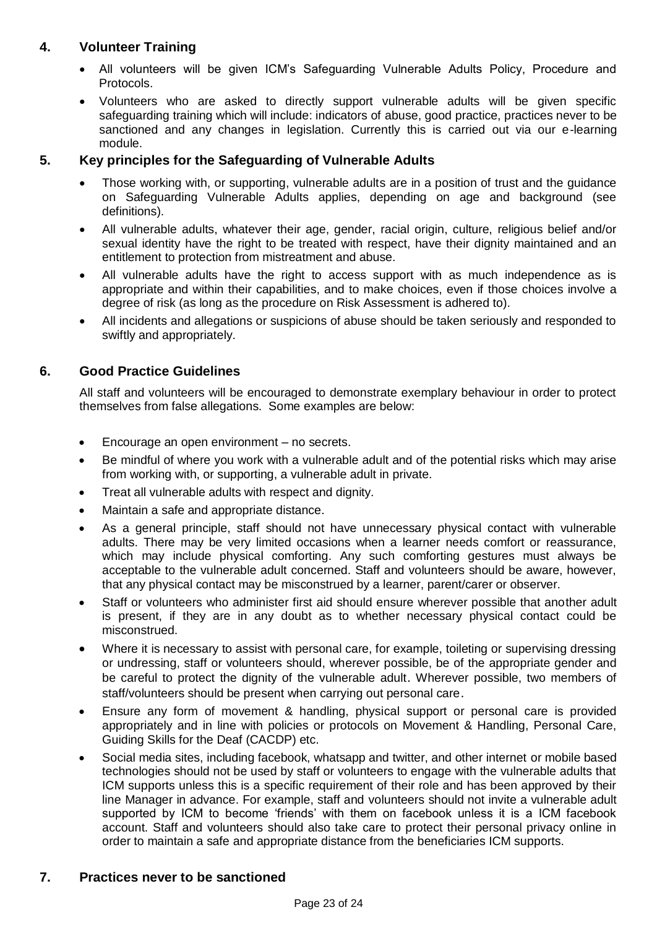# **4. Volunteer Training**

- All volunteers will be given ICM's Safeguarding Vulnerable Adults Policy, Procedure and Protocols.
- Volunteers who are asked to directly support vulnerable adults will be given specific safeguarding training which will include: indicators of abuse, good practice, practices never to be sanctioned and any changes in legislation. Currently this is carried out via our e-learning module.

# **5. Key principles for the Safeguarding of Vulnerable Adults**

- Those working with, or supporting, vulnerable adults are in a position of trust and the guidance on Safeguarding Vulnerable Adults applies, depending on age and background (see definitions).
- All vulnerable adults, whatever their age, gender, racial origin, culture, religious belief and/or sexual identity have the right to be treated with respect, have their dignity maintained and an entitlement to protection from mistreatment and abuse.
- All vulnerable adults have the right to access support with as much independence as is appropriate and within their capabilities, and to make choices, even if those choices involve a degree of risk (as long as the procedure on Risk Assessment is adhered to).
- All incidents and allegations or suspicions of abuse should be taken seriously and responded to swiftly and appropriately.

# **6. Good Practice Guidelines**

All staff and volunteers will be encouraged to demonstrate exemplary behaviour in order to protect themselves from false allegations. Some examples are below:

- Encourage an open environment no secrets.
- Be mindful of where you work with a vulnerable adult and of the potential risks which may arise from working with, or supporting, a vulnerable adult in private.
- Treat all vulnerable adults with respect and dignity.
- Maintain a safe and appropriate distance.
- As a general principle, staff should not have unnecessary physical contact with vulnerable adults. There may be very limited occasions when a learner needs comfort or reassurance, which may include physical comforting. Any such comforting gestures must always be acceptable to the vulnerable adult concerned. Staff and volunteers should be aware, however, that any physical contact may be misconstrued by a learner, parent/carer or observer.
- Staff or volunteers who administer first aid should ensure wherever possible that another adult is present, if they are in any doubt as to whether necessary physical contact could be misconstrued.
- Where it is necessary to assist with personal care, for example, toileting or supervising dressing or undressing, staff or volunteers should, wherever possible, be of the appropriate gender and be careful to protect the dignity of the vulnerable adult. Wherever possible, two members of staff/volunteers should be present when carrying out personal care.
- Ensure any form of movement & handling, physical support or personal care is provided appropriately and in line with policies or protocols on Movement & Handling, Personal Care, Guiding Skills for the Deaf (CACDP) etc.
- Social media sites, including facebook, whatsapp and twitter, and other internet or mobile based technologies should not be used by staff or volunteers to engage with the vulnerable adults that ICM supports unless this is a specific requirement of their role and has been approved by their line Manager in advance. For example, staff and volunteers should not invite a vulnerable adult supported by ICM to become 'friends' with them on facebook unless it is a ICM facebook account. Staff and volunteers should also take care to protect their personal privacy online in order to maintain a safe and appropriate distance from the beneficiaries ICM supports.

# **7. Practices never to be sanctioned**